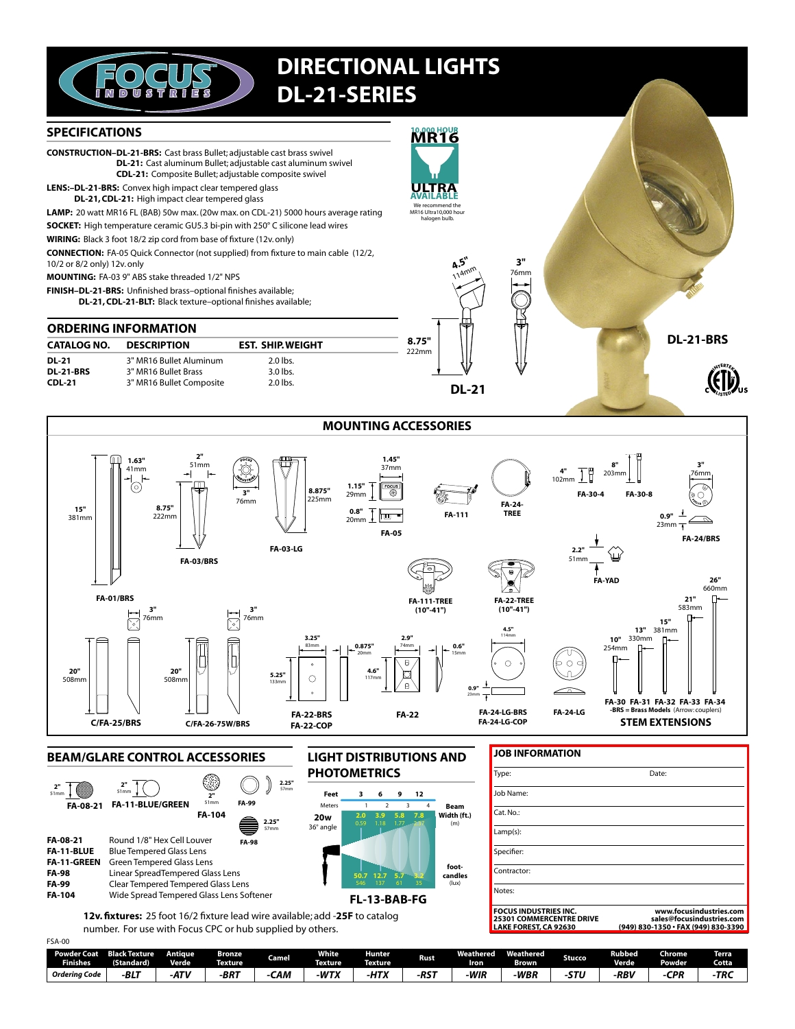

# **DIRECTIONAL LIGHTS DL-21-SERIES**

### **SPECIFICATIONS**

**CONSTRUCTION-DL-21-BRS:** Cast brass Bullet: adjustable cast brass swivel DL-21: Cast aluminum Bullet; adjustable cast aluminum swivel CDL-21: Composite Bullet; adjustable composite swivel

- LENS:-DL-21-BRS: Convex high impact clear tempered glass
	- DL-21, CDL-21: High impact clear tempered glass

LAMP: 20 watt MR16 FL (BAB) 50w max. (20w max. on CDL-21) 5000 hours average rating

SOCKET: High temperature ceramic GU5.3 bi-pin with 250° C silicone lead wires

WIRING: Black 3 foot 18/2 zip cord from base of fixture (12v. only)

**CONNECTION:** FA-05 Quick Connector (not supplied) from fixture to main cable (12/2, 10/2 or 8/2 only) 12v. only

MOUNTING: FA-03 9" ABS stake threaded 1/2" NPS

 $1.63'$  $\begin{array}{c}\n1.05 \\
41mm \\
\hline\n\end{array}$ 

**FA-01/BRS** 

 $15'$ 

381mr

20"

 $50000$ 

 $8.75"$ 

 $222$ mn

 $\mathbf{z}^{\mathrm{u}}$ 

76mm Ħ

20

**FA-03/BRS** 

FINISH-DL-21-BRS: Unfinished brass-optional finishes available;

DL-21, CDL-21-BLT: Black texture-optional finishes available;

### **ORDERING INFORMATION**

| <b>CATALOG NO.</b>        | <b>DESCRIPTION</b>                              | <b>EST. SHIP. WEIGHT</b> |  |  |  |
|---------------------------|-------------------------------------------------|--------------------------|--|--|--|
| DL-21<br><b>DL-21-BRS</b> | 3" MR16 Bullet Aluminum<br>3" MR16 Bullet Brass | $2.0$ lbs.<br>$3.0$ lbs. |  |  |  |
| $CDL-21$                  | 3" MR16 Bullet Composite                        | $2.0$ lbs.               |  |  |  |

 $\overline{3}$ 

76mm

 $3"$  $76$ mm

ੋਂ



**DL-21** 

R,

76mn

**DL-21-BRS** 

**MOUNTING ACCESSORIES**  $1.45"$  $37<sub>mm</sub>$  $102r$  $1.15"$ õ FA-30-4 FA-30-8 29mm **FA-24**  $0.8"$ أستسأ **TRFF**  $20mm$ FA-111  $0.9"$ **FA-05 FA-24/BRS**  $2.2$  $51<sub>m</sub>$ FA-YAD  $26'$ 660mm  $21"$ <br>583mm FA-22-TREE **FA-111-TREE**  $(10" - 41")$  $(10" - 41")$  $15'$ 13" 381mm 15"  $10"$  330mm  $\mathsf{D}$ 0.875  $0.6'$  $254$ mm  $\overline{6}$  $\bigcirc$  $0.9"$ 



 $8.875''$ 

 $225mm$ 

**FA-03-LG** 



**JOB INFORMATION** Type: Date: Job Name: Cat. No.: Lamp(s): Specifier: Contractor: Notes: FOCUS INDUSTRIES INC.<br>25301 COMMERCENTRE DRIVE<br>LAKE FOREST, CA 92630 www.focusindustries.com www.rocusmudistries.com<br>sales@focusindustries.com<br>830-1350 • FAX (949) 830-3390 (949)

| טט־ר <i>וכ</i>                 |                                    |                         |                                 |       |                                |                           |             |                               |                           |        |                        |                                |                |
|--------------------------------|------------------------------------|-------------------------|---------------------------------|-------|--------------------------------|---------------------------|-------------|-------------------------------|---------------------------|--------|------------------------|--------------------------------|----------------|
| Powder Coat<br><b>Finishes</b> | <b>Black Texture</b><br>(Standard) | Antiaue<br><b>Verde</b> | <b>Bronze</b><br><b>Texture</b> | Camel | <b>White</b><br><b>Texture</b> | <b>Hunter</b><br>Texture. | <b>Rust</b> | <b>Wea</b><br>athered<br>Iron | Weathered<br><b>Brown</b> | Stucco | Rubbed<br><b>Verde</b> | <b>Chrome</b><br><b>Powder</b> | Terra<br>Cotta |
| Orderina Code                  | B17<br>-DL.                        | ATV<br>n,               | $-BRT$                          | САМ   | $-WT^*$                        | <b>10TV</b><br>$\cdots$   | $-RST$      | -WIR                          | -WBR                      |        | -RBV                   | cnn                            | ·TRC           |